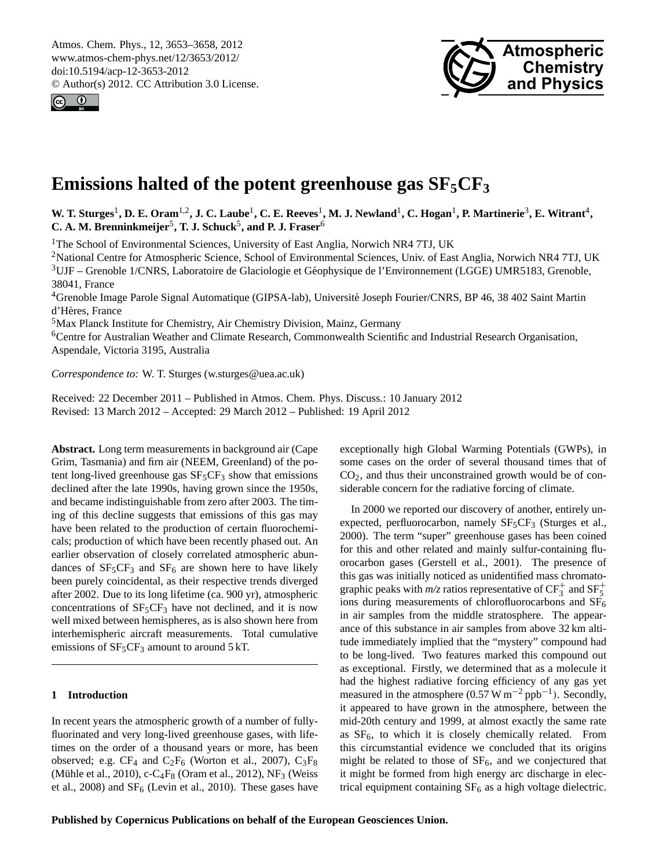<span id="page-0-0"></span>Atmos. Chem. Phys., 12, 3653–3658, 2012 www.atmos-chem-phys.net/12/3653/2012/ doi:10.5194/acp-12-3653-2012 © Author(s) 2012. CC Attribution 3.0 License.





# **Emissions halted of the potent greenhouse gas SF5CF<sup>3</sup>**

W. T. Sturges<sup>1</sup>, D. E. Oram<sup>1,2</sup>, J. C. Laube<sup>1</sup>, C. E. Reeves<sup>1</sup>, M. J. Newland<sup>1</sup>, C. Hogan<sup>1</sup>, P. Martinerie<sup>3</sup>, E. Witrant<sup>4</sup>, C. A. M. Brenninkmeijer<sup>5</sup>, T. J. Schuck<sup>5</sup>, and P. J. Fraser<sup>6</sup>

<sup>1</sup>The School of Environmental Sciences, University of East Anglia, Norwich NR4 7TJ, UK

<sup>2</sup>National Centre for Atmospheric Science, School of Environmental Sciences, Univ. of East Anglia, Norwich NR4 7TJ, UK <sup>3</sup>UJF – Grenoble 1/CNRS, Laboratoire de Glaciologie et Géophysique de l'Environnement (LGGE) UMR5183, Grenoble, 38041, France

<sup>4</sup>Grenoble Image Parole Signal Automatique (GIPSA-lab), Universite Joseph Fourier/CNRS, BP 46, 38 402 Saint Martin ´ d'Hères, France

<sup>5</sup>Max Planck Institute for Chemistry, Air Chemistry Division, Mainz, Germany

<sup>6</sup>Centre for Australian Weather and Climate Research, Commonwealth Scientific and Industrial Research Organisation, Aspendale, Victoria 3195, Australia

*Correspondence to:* W. T. Sturges (w.sturges@uea.ac.uk)

Received: 22 December 2011 – Published in Atmos. Chem. Phys. Discuss.: 10 January 2012 Revised: 13 March 2012 – Accepted: 29 March 2012 – Published: 19 April 2012

**Abstract.** Long term measurements in background air (Cape Grim, Tasmania) and firn air (NEEM, Greenland) of the potent long-lived greenhouse gas  $SF<sub>5</sub>CF<sub>3</sub>$  show that emissions declined after the late 1990s, having grown since the 1950s, and became indistinguishable from zero after 2003. The timing of this decline suggests that emissions of this gas may have been related to the production of certain fluorochemicals; production of which have been recently phased out. An earlier observation of closely correlated atmospheric abundances of  $SF<sub>5</sub>CF<sub>3</sub>$  and  $SF<sub>6</sub>$  are shown here to have likely been purely coincidental, as their respective trends diverged after 2002. Due to its long lifetime (ca. 900 yr), atmospheric concentrations of  $SF<sub>5</sub>CF<sub>3</sub>$  have not declined, and it is now well mixed between hemispheres, as is also shown here from interhemispheric aircraft measurements. Total cumulative emissions of  $SF<sub>5</sub>CF<sub>3</sub>$  amount to around 5 kT.

#### **1 Introduction**

In recent years the atmospheric growth of a number of fullyfluorinated and very long-lived greenhouse gases, with lifetimes on the order of a thousand years or more, has been observed; e.g.  $CF_4$  and  $C_2F_6$  (Worton et al., 2007),  $C_3F_8$ (Mühle et al., 2010), c-C<sub>4</sub>F<sub>8</sub> (Oram et al., 2012), NF<sub>3</sub> (Weiss et al., 2008) and  $SF_6$  (Levin et al., 2010). These gases have exceptionally high Global Warming Potentials (GWPs), in some cases on the order of several thousand times that of  $CO<sub>2</sub>$ , and thus their unconstrained growth would be of considerable concern for the radiative forcing of climate.

In 2000 we reported our discovery of another, entirely unexpected, perfluorocarbon, namely  $SF<sub>5</sub>CF<sub>3</sub>$  (Sturges et al., 2000). The term "super" greenhouse gases has been coined for this and other related and mainly sulfur-containing fluorocarbon gases (Gerstell et al., 2001). The presence of this gas was initially noticed as unidentified mass chromatographic peaks with  $m/z$  ratios representative of  $CF_3^+$  and  $SF_5^+$ ions during measurements of chlorofluorocarbons and  $SF<sub>6</sub>$ in air samples from the middle stratosphere. The appearance of this substance in air samples from above 32 km altitude immediately implied that the "mystery" compound had to be long-lived. Two features marked this compound out as exceptional. Firstly, we determined that as a molecule it had the highest radiative forcing efficiency of any gas yet measured in the atmosphere  $(0.57 \text{ W m}^{-2} \text{ pb}^{-1})$ . Secondly, it appeared to have grown in the atmosphere, between the mid-20th century and 1999, at almost exactly the same rate as  $SF<sub>6</sub>$ , to which it is closely chemically related. From this circumstantial evidence we concluded that its origins might be related to those of  $SF<sub>6</sub>$ , and we conjectured that it might be formed from high energy arc discharge in electrical equipment containing  $SF_6$  as a high voltage dielectric.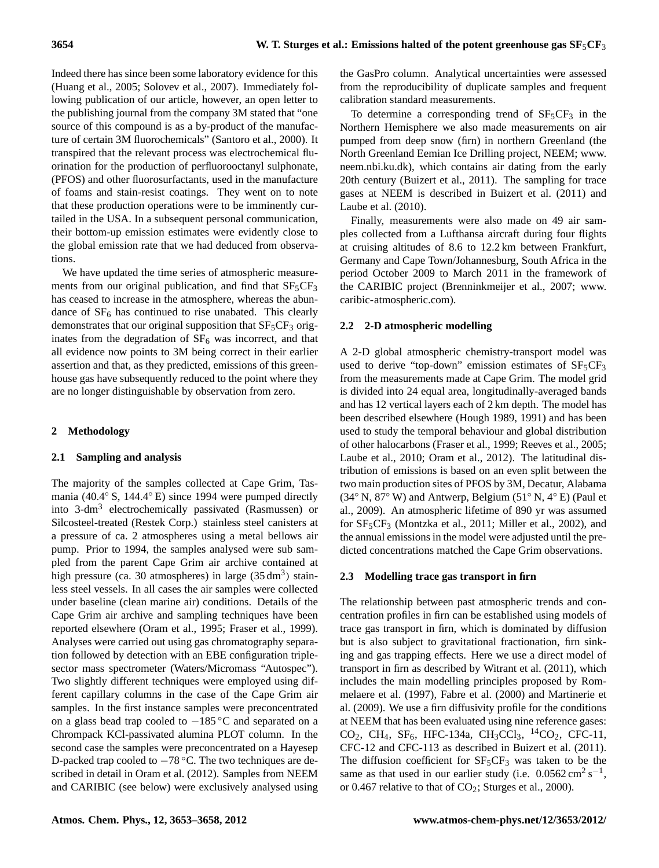Indeed there has since been some laboratory evidence for this (Huang et al., 2005; Solovev et al., 2007). Immediately following publication of our article, however, an open letter to the publishing journal from the company 3M stated that "one source of this compound is as a by-product of the manufacture of certain 3M fluorochemicals" (Santoro et al., 2000). It transpired that the relevant process was electrochemical fluorination for the production of perfluorooctanyl sulphonate, (PFOS) and other fluorosurfactants, used in the manufacture of foams and stain-resist coatings. They went on to note that these production operations were to be imminently curtailed in the USA. In a subsequent personal communication, their bottom-up emission estimates were evidently close to the global emission rate that we had deduced from observations.

We have updated the time series of atmospheric measurements from our original publication, and find that  $SF<sub>5</sub>CF<sub>3</sub>$ has ceased to increase in the atmosphere, whereas the abundance of  $SF<sub>6</sub>$  has continued to rise unabated. This clearly demonstrates that our original supposition that  $SF<sub>5</sub>CF<sub>3</sub>$  originates from the degradation of  $SF_6$  was incorrect, and that all evidence now points to 3M being correct in their earlier assertion and that, as they predicted, emissions of this greenhouse gas have subsequently reduced to the point where they are no longer distinguishable by observation from zero.

## **2 Methodology**

## **2.1 Sampling and analysis**

The majority of the samples collected at Cape Grim, Tasmania (40.4◦ S, 144.4◦ E) since 1994 were pumped directly into 3-dm<sup>3</sup> electrochemically passivated (Rasmussen) or Silcosteel-treated (Restek Corp.) stainless steel canisters at a pressure of ca. 2 atmospheres using a metal bellows air pump. Prior to 1994, the samples analysed were sub sampled from the parent Cape Grim air archive contained at high pressure (ca. 30 atmospheres) in large  $(35 \text{ dm}^3)$  stainless steel vessels. In all cases the air samples were collected under baseline (clean marine air) conditions. Details of the Cape Grim air archive and sampling techniques have been reported elsewhere (Oram et al., 1995; Fraser et al., 1999). Analyses were carried out using gas chromatography separation followed by detection with an EBE configuration triplesector mass spectrometer (Waters/Micromass "Autospec"). Two slightly different techniques were employed using different capillary columns in the case of the Cape Grim air samples. In the first instance samples were preconcentrated on a glass bead trap cooled to −185 ◦C and separated on a Chrompack KCl-passivated alumina PLOT column. In the second case the samples were preconcentrated on a Hayesep D-packed trap cooled to −78 °C. The two techniques are described in detail in Oram et al. (2012). Samples from NEEM and CARIBIC (see below) were exclusively analysed using the GasPro column. Analytical uncertainties were assessed from the reproducibility of duplicate samples and frequent calibration standard measurements.

To determine a corresponding trend of  $SF<sub>5</sub>CF<sub>3</sub>$  in the Northern Hemisphere we also made measurements on air pumped from deep snow (firn) in northern Greenland (the North Greenland Eemian Ice Drilling project, NEEM; [www.](www.neem.nbi.ku.dk) [neem.nbi.ku.dk\)](www.neem.nbi.ku.dk), which contains air dating from the early 20th century (Buizert et al., 2011). The sampling for trace gases at NEEM is described in Buizert et al. (2011) and Laube et al. (2010).

Finally, measurements were also made on 49 air samples collected from a Lufthansa aircraft during four flights at cruising altitudes of 8.6 to 12.2 km between Frankfurt, Germany and Cape Town/Johannesburg, South Africa in the period October 2009 to March 2011 in the framework of the CARIBIC project (Brenninkmeijer et al., 2007; [www.](www.caribic-atmospheric.com) [caribic-atmospheric.com\)](www.caribic-atmospheric.com).

### **2.2 2-D atmospheric modelling**

A 2-D global atmospheric chemistry-transport model was used to derive "top-down" emission estimates of  $SF<sub>5</sub>CF<sub>3</sub>$ from the measurements made at Cape Grim. The model grid is divided into 24 equal area, longitudinally-averaged bands and has 12 vertical layers each of 2 km depth. The model has been described elsewhere (Hough 1989, 1991) and has been used to study the temporal behaviour and global distribution of other halocarbons (Fraser et al., 1999; Reeves et al., 2005; Laube et al., 2010; Oram et al., 2012). The latitudinal distribution of emissions is based on an even split between the two main production sites of PFOS by 3M, Decatur, Alabama  $(34° \text{ N}, 87° \text{ W})$  and Antwerp, Belgium  $(51° \text{ N}, 4° \text{ E})$  (Paul et al., 2009). An atmospheric lifetime of 890 yr was assumed for  $SF<sub>5</sub>CF<sub>3</sub>$  (Montzka et al., 2011; Miller et al., 2002), and the annual emissions in the model were adjusted until the predicted concentrations matched the Cape Grim observations.

# **2.3 Modelling trace gas transport in firn**

The relationship between past atmospheric trends and concentration profiles in firn can be established using models of trace gas transport in firn, which is dominated by diffusion but is also subject to gravitational fractionation, firn sinking and gas trapping effects. Here we use a direct model of transport in firn as described by Witrant et al. (2011), which includes the main modelling principles proposed by Rommelaere et al. (1997), Fabre et al. (2000) and Martinerie et al. (2009). We use a firn diffusivity profile for the conditions at NEEM that has been evaluated using nine reference gases: CO<sub>2</sub>, CH<sub>4</sub>, SF<sub>6</sub>, HFC-134a, CH<sub>3</sub>CCl<sub>3</sub>, <sup>14</sup>CO<sub>2</sub>, CFC-11, CFC-12 and CFC-113 as described in Buizert et al. (2011). The diffusion coefficient for  $SF<sub>5</sub>CF<sub>3</sub>$  was taken to be the same as that used in our earlier study (i.e.  $0.0562 \text{ cm}^2 \text{ s}^{-1}$ , or 0.467 relative to that of  $CO_2$ ; Sturges et al., 2000).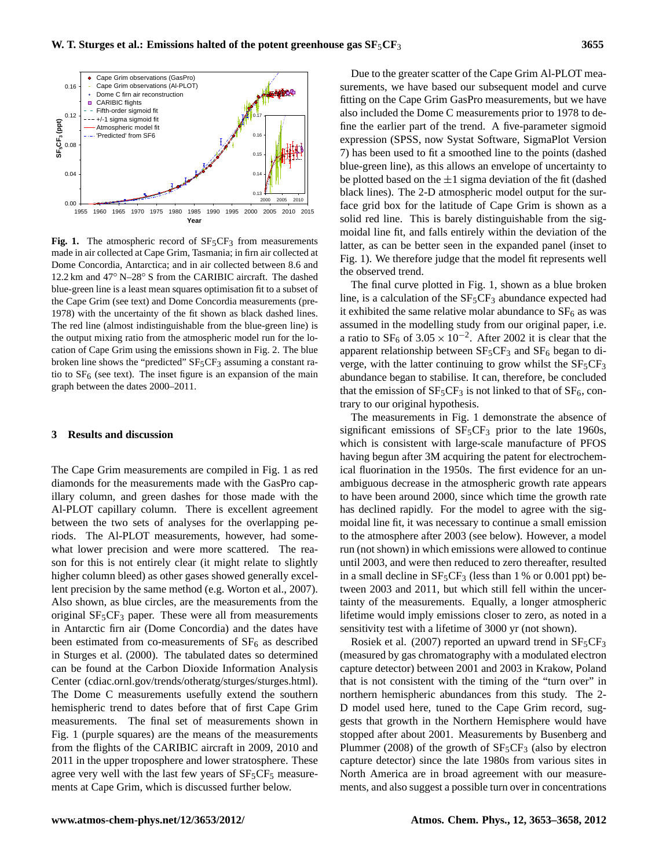

**Fig. 1.** The atmospheric record of  $SF<sub>5</sub>CF<sub>3</sub>$  from measurements made in air collected at Cape Grim, Tasmania; in firn air collected at Dome Concordia, Antarctica; and in air collected between 8.6 and 12.2 km and 47◦ N–28◦ S from the CARIBIC aircraft. The dashed blue-green line is a least mean squares optimisation fit to a subset of the Cape Grim (see text) and Dome Concordia measurements (pre-1978) with the uncertainty of the fit shown as black dashed lines. The red line (almost indistinguishable from the blue-green line) is the output mixing ratio from the atmospheric model run for the location of Cape Grim using the emissions shown in Fig. 2. The blue broken line shows the "predicted"  $SF<sub>5</sub>CF<sub>3</sub>$  assuming a constant ratio to  $SF<sub>6</sub>$  (see text). The inset figure is an expansion of the main graph between the dates 2000–2011.

#### **3 Results and discussion**

The Cape Grim measurements are compiled in Fig. 1 as red diamonds for the measurements made with the GasPro capillary column, and green dashes for those made with the Al-PLOT capillary column. There is excellent agreement between the two sets of analyses for the overlapping periods. The Al-PLOT measurements, however, had somewhat lower precision and were more scattered. The reason for this is not entirely clear (it might relate to slightly higher column bleed) as other gases showed generally excellent precision by the same method (e.g. Worton et al., 2007). Also shown, as blue circles, are the measurements from the original  $SF<sub>5</sub>CF<sub>3</sub>$  paper. These were all from measurements in Antarctic firn air (Dome Concordia) and the dates have been estimated from co-measurements of  $SF<sub>6</sub>$  as described in Sturges et al. (2000). The tabulated dates so determined can be found at the Carbon Dioxide Information Analysis Center [\(cdiac.ornl.gov/trends/otheratg/sturges/sturges.html\)](cdiac.ornl.gov/trends/otheratg/sturges/sturges.html). The Dome C measurements usefully extend the southern hemispheric trend to dates before that of first Cape Grim measurements. The final set of measurements shown in Fig. 1 (purple squares) are the means of the measurements from the flights of the CARIBIC aircraft in 2009, 2010 and 2011 in the upper troposphere and lower stratosphere. These agree very well with the last few years of  $SF<sub>5</sub>CF<sub>5</sub>$  measurements at Cape Grim, which is discussed further below.

Due to the greater scatter of the Cape Grim Al-PLOT measurements, we have based our subsequent model and curve fitting on the Cape Grim GasPro measurements, but we have also included the Dome C measurements prior to 1978 to define the earlier part of the trend. A five-parameter sigmoid expression (SPSS, now Systat Software, SigmaPlot Version 7) has been used to fit a smoothed line to the points (dashed blue-green line), as this allows an envelope of uncertainty to be plotted based on the  $\pm 1$  sigma deviation of the fit (dashed black lines). The 2-D atmospheric model output for the surface grid box for the latitude of Cape Grim is shown as a solid red line. This is barely distinguishable from the sigmoidal line fit, and falls entirely within the deviation of the latter, as can be better seen in the expanded panel (inset to Fig. 1). We therefore judge that the model fit represents well the observed trend.

The final curve plotted in Fig. 1, shown as a blue broken line, is a calculation of the  $SF<sub>5</sub>CF<sub>3</sub>$  abundance expected had it exhibited the same relative molar abundance to  $SF_6$  as was assumed in the modelling study from our original paper, i.e. a ratio to  $SF_6$  of 3.05 × 10<sup>-2</sup>. After 2002 it is clear that the apparent relationship between  $SF<sub>5</sub>CF<sub>3</sub>$  and  $SF<sub>6</sub>$  began to diverge, with the latter continuing to grow whilst the  $SF<sub>5</sub>CF<sub>3</sub>$ abundance began to stabilise. It can, therefore, be concluded that the emission of  $SF_5CF_3$  is not linked to that of  $SF_6$ , contrary to our original hypothesis.

The measurements in Fig. 1 demonstrate the absence of significant emissions of  $SF<sub>5</sub>CF<sub>3</sub>$  prior to the late 1960s, which is consistent with large-scale manufacture of PFOS having begun after 3M acquiring the patent for electrochemical fluorination in the 1950s. The first evidence for an unambiguous decrease in the atmospheric growth rate appears to have been around 2000, since which time the growth rate has declined rapidly. For the model to agree with the sigmoidal line fit, it was necessary to continue a small emission to the atmosphere after 2003 (see below). However, a model run (not shown) in which emissions were allowed to continue until 2003, and were then reduced to zero thereafter, resulted in a small decline in  $SF_5CF_3$  (less than 1 % or 0.001 ppt) between 2003 and 2011, but which still fell within the uncertainty of the measurements. Equally, a longer atmospheric lifetime would imply emissions closer to zero, as noted in a sensitivity test with a lifetime of 3000 yr (not shown).

Rosiek et al. (2007) reported an upward trend in  $SF<sub>5</sub>CF<sub>3</sub>$ (measured by gas chromatography with a modulated electron capture detector) between 2001 and 2003 in Krakow, Poland that is not consistent with the timing of the "turn over" in northern hemispheric abundances from this study. The 2- D model used here, tuned to the Cape Grim record, suggests that growth in the Northern Hemisphere would have stopped after about 2001. Measurements by Busenberg and Plummer (2008) of the growth of  $SF<sub>5</sub>CF<sub>3</sub>$  (also by electron capture detector) since the late 1980s from various sites in North America are in broad agreement with our measurements, and also suggest a possible turn over in concentrations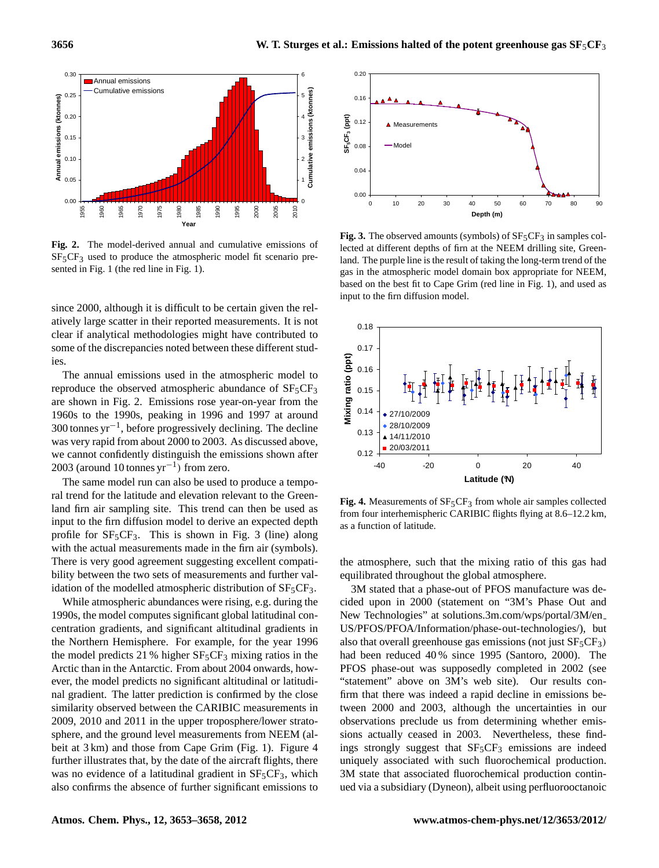

**Fig. 2.** The model-derived annual and cumulative emissions of  $SF<sub>5</sub>CF<sub>3</sub>$  used to produce the atmospheric model fit scenario presented in Fig. 1 (the red line in Fig. 1).

since 2000, although it is difficult to be certain given the relatively large scatter in their reported measurements. It is not clear if analytical methodologies might have contributed to some of the discrepancies noted between these different studies.

The annual emissions used in the atmospheric model to reproduce the observed atmospheric abundance of  $SF<sub>5</sub>CF<sub>3</sub>$ are shown in Fig. 2. Emissions rose year-on-year from the 1960s to the 1990s, peaking in 1996 and 1997 at around 300 tonnes yr−<sup>1</sup> , before progressively declining. The decline was very rapid from about 2000 to 2003. As discussed above, we cannot confidently distinguish the emissions shown after 2003 (around 10 tonnes yr−<sup>1</sup> ) from zero.

The same model run can also be used to produce a temporal trend for the latitude and elevation relevant to the Greenland firn air sampling site. This trend can then be used as input to the firn diffusion model to derive an expected depth profile for  $SF<sub>5</sub>CF<sub>3</sub>$ . This is shown in Fig. 3 (line) along with the actual measurements made in the firn air (symbols). There is very good agreement suggesting excellent compatibility between the two sets of measurements and further validation of the modelled atmospheric distribution of  $SF<sub>5</sub>CF<sub>3</sub>$ .

While atmospheric abundances were rising, e.g. during the 1990s, the model computes significant global latitudinal concentration gradients, and significant altitudinal gradients in the Northern Hemisphere. For example, for the year 1996 the model predicts 21 % higher  $SF<sub>5</sub>CF<sub>3</sub>$  mixing ratios in the Arctic than in the Antarctic. From about 2004 onwards, however, the model predicts no significant altitudinal or latitudinal gradient. The latter prediction is confirmed by the close similarity observed between the CARIBIC measurements in 2009, 2010 and 2011 in the upper troposphere/lower stratosphere, and the ground level measurements from NEEM (albeit at 3 km) and those from Cape Grim (Fig. 1). Figure 4 further illustrates that, by the date of the aircraft flights, there was no evidence of a latitudinal gradient in  $SF<sub>5</sub>CF<sub>3</sub>$ , which also confirms the absence of further significant emissions to



**Fig. 3.** The observed amounts (symbols) of  $SF<sub>5</sub>CF<sub>3</sub>$  in samples collected at different depths of firn at the NEEM drilling site, Greenland. The purple line is the result of taking the long-term trend of the gas in the atmospheric model domain box appropriate for NEEM, based on the best fit to Cape Grim (red line in Fig. 1), and used as input to the firn diffusion model.



Fig. 4. Measurements of SF<sub>5</sub>CF<sub>3</sub> from whole air samples collected from four interhemispheric CARIBIC flights flying at 8.6–12.2 km, as a function of latitude.

the atmosphere, such that the mixing ratio of this gas had equilibrated throughout the global atmosphere.

3M stated that a phase-out of PFOS manufacture was decided upon in 2000 (statement on "3M's Phase Out and New Technologies" at [solutions.3m.com/wps/portal/3M/en](solutions.3m.com/wps/portal/3M/en_US/PFOS/PFOA/Information/phase-out-technologies/) [US/PFOS/PFOA/Information/phase-out-technologies/\)](solutions.3m.com/wps/portal/3M/en_US/PFOS/PFOA/Information/phase-out-technologies/), but also that overall greenhouse gas emissions (not just  $SF_5CF_3$ ) had been reduced 40 % since 1995 (Santoro, 2000). The PFOS phase-out was supposedly completed in 2002 (see "statement" above on 3M's web site). Our results confirm that there was indeed a rapid decline in emissions between 2000 and 2003, although the uncertainties in our observations preclude us from determining whether emissions actually ceased in 2003. Nevertheless, these findings strongly suggest that  $SF<sub>5</sub>CF<sub>3</sub>$  emissions are indeed uniquely associated with such fluorochemical production. 3M state that associated fluorochemical production continued via a subsidiary (Dyneon), albeit using perfluorooctanoic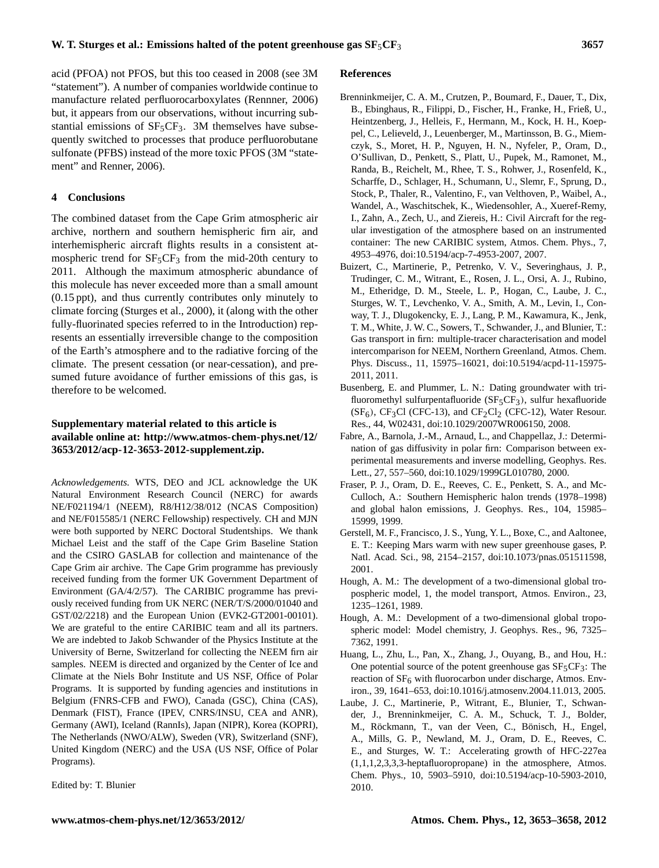acid (PFOA) not PFOS, but this too ceased in 2008 (see 3M "statement"). A number of companies worldwide continue to manufacture related perfluorocarboxylates (Rennner, 2006) but, it appears from our observations, without incurring substantial emissions of  $SF<sub>5</sub>CF<sub>3</sub>$ . 3M themselves have subsequently switched to processes that produce perfluorobutane sulfonate (PFBS) instead of the more toxic PFOS (3M "statement" and Renner, 2006).

#### **4 Conclusions**

The combined dataset from the Cape Grim atmospheric air archive, northern and southern hemispheric firn air, and interhemispheric aircraft flights results in a consistent atmospheric trend for  $SF_5CF_3$  from the mid-20th century to 2011. Although the maximum atmospheric abundance of this molecule has never exceeded more than a small amount (0.15 ppt), and thus currently contributes only minutely to climate forcing (Sturges et al., 2000), it (along with the other fully-fluorinated species referred to in the Introduction) represents an essentially irreversible change to the composition of the Earth's atmosphere and to the radiative forcing of the climate. The present cessation (or near-cessation), and presumed future avoidance of further emissions of this gas, is therefore to be welcomed.

## **Supplementary material related to this article is available online at: [http://www.atmos-chem-phys.net/12/](http://www.atmos-chem-phys.net/12/3653/2012/acp-12-3653-2012-supplement.zip) [3653/2012/acp-12-3653-2012-supplement.zip.](http://www.atmos-chem-phys.net/12/3653/2012/acp-12-3653-2012-supplement.zip)**

*Acknowledgements.* WTS, DEO and JCL acknowledge the UK Natural Environment Research Council (NERC) for awards NE/F021194/1 (NEEM), R8/H12/38/012 (NCAS Composition) and NE/F015585/1 (NERC Fellowship) respectively. CH and MJN were both supported by NERC Doctoral Studentships. We thank Michael Leist and the staff of the Cape Grim Baseline Station and the CSIRO GASLAB for collection and maintenance of the Cape Grim air archive. The Cape Grim programme has previously received funding from the former UK Government Department of Environment (GA/4/2/57). The CARIBIC programme has previously received funding from UK NERC (NER/T/S/2000/01040 and GST/02/2218) and the European Union (EVK2-GT2001-00101). We are grateful to the entire CARIBIC team and all its partners. We are indebted to Jakob Schwander of the Physics Institute at the University of Berne, Switzerland for collecting the NEEM firn air samples. NEEM is directed and organized by the Center of Ice and Climate at the Niels Bohr Institute and US NSF, Office of Polar Programs. It is supported by funding agencies and institutions in Belgium (FNRS-CFB and FWO), Canada (GSC), China (CAS), Denmark (FIST), France (IPEV, CNRS/INSU, CEA and ANR), Germany (AWI), Iceland (RannIs), Japan (NIPR), Korea (KOPRI), The Netherlands (NWO/ALW), Sweden (VR), Switzerland (SNF), United Kingdom (NERC) and the USA (US NSF, Office of Polar Programs).

Edited by: T. Blunier

#### **References**

- Brenninkmeijer, C. A. M., Crutzen, P., Boumard, F., Dauer, T., Dix, B., Ebinghaus, R., Filippi, D., Fischer, H., Franke, H., Frieß, U., Heintzenberg, J., Helleis, F., Hermann, M., Kock, H. H., Koeppel, C., Lelieveld, J., Leuenberger, M., Martinsson, B. G., Miemczyk, S., Moret, H. P., Nguyen, H. N., Nyfeler, P., Oram, D., O'Sullivan, D., Penkett, S., Platt, U., Pupek, M., Ramonet, M., Randa, B., Reichelt, M., Rhee, T. S., Rohwer, J., Rosenfeld, K., Scharffe, D., Schlager, H., Schumann, U., Slemr, F., Sprung, D., Stock, P., Thaler, R., Valentino, F., van Velthoven, P., Waibel, A., Wandel, A., Waschitschek, K., Wiedensohler, A., Xueref-Remy, I., Zahn, A., Zech, U., and Ziereis, H.: Civil Aircraft for the regular investigation of the atmosphere based on an instrumented container: The new CARIBIC system, Atmos. Chem. Phys., 7, 4953–4976, [doi:10.5194/acp-7-4953-2007,](http://dx.doi.org/10.5194/acp-7-4953-2007) 2007.
- Buizert, C., Martinerie, P., Petrenko, V. V., Severinghaus, J. P., Trudinger, C. M., Witrant, E., Rosen, J. L., Orsi, A. J., Rubino, M., Etheridge, D. M., Steele, L. P., Hogan, C., Laube, J. C., Sturges, W. T., Levchenko, V. A., Smith, A. M., Levin, I., Conway, T. J., Dlugokencky, E. J., Lang, P. M., Kawamura, K., Jenk, T. M., White, J. W. C., Sowers, T., Schwander, J., and Blunier, T.: Gas transport in firn: multiple-tracer characterisation and model intercomparison for NEEM, Northern Greenland, Atmos. Chem. Phys. Discuss., 11, 15975–16021, [doi:10.5194/acpd-11-15975-](http://dx.doi.org/10.5194/acpd-11-15975-2011) [2011,](http://dx.doi.org/10.5194/acpd-11-15975-2011) 2011.
- Busenberg, E. and Plummer, L. N.: Dating groundwater with trifluoromethyl sulfurpentafluoride ( $SF<sub>5</sub>CF<sub>3</sub>$ ), sulfur hexafluoride  $(SF_6)$ , CF<sub>3</sub>Cl (CFC-13), and CF<sub>2</sub>Cl<sub>2</sub> (CFC-12), Water Resour. Res., 44, W02431, [doi:10.1029/2007WR006150,](http://dx.doi.org/10.1029/2007WR006150) 2008.
- Fabre, A., Barnola, J.-M., Arnaud, L., and Chappellaz, J.: Determination of gas diffusivity in polar firn: Comparison between experimental measurements and inverse modelling, Geophys. Res. Lett., 27, 557–560, [doi:10.1029/1999GL010780,](http://dx.doi.org/10.1029/1999GL010780) 2000.
- Fraser, P. J., Oram, D. E., Reeves, C. E., Penkett, S. A., and Mc-Culloch, A.: Southern Hemispheric halon trends (1978–1998) and global halon emissions, J. Geophys. Res., 104, 15985– 15999, 1999.
- Gerstell, M. F., Francisco, J. S., Yung, Y. L., Boxe, C., and Aaltonee, E. T.: Keeping Mars warm with new super greenhouse gases, P. Natl. Acad. Sci., 98, 2154–2157, [doi:10.1073/pnas.051511598,](http://dx.doi.org/10.1073/pnas.051511598) 2001.
- Hough, A. M.: The development of a two-dimensional global tropospheric model, 1, the model transport, Atmos. Environ., 23, 1235–1261, 1989.
- Hough, A. M.: Development of a two-dimensional global tropospheric model: Model chemistry, J. Geophys. Res., 96, 7325– 7362, 1991.
- Huang, L., Zhu, L., Pan, X., Zhang, J., Ouyang, B., and Hou, H.: One potential source of the potent greenhouse gas  $SF<sub>5</sub>CF<sub>3</sub>$ : The reaction of  $SF<sub>6</sub>$  with fluorocarbon under discharge, Atmos. Environ., 39, 1641–653, [doi:10.1016/j.atmosenv.2004.11.013,](http://dx.doi.org/10.1016/j.atmosenv.2004.11.013) 2005.
- Laube, J. C., Martinerie, P., Witrant, E., Blunier, T., Schwander, J., Brenninkmeijer, C. A. M., Schuck, T. J., Bolder, M., Röckmann, T., van der Veen, C., Bönisch, H., Engel, A., Mills, G. P., Newland, M. J., Oram, D. E., Reeves, C. E., and Sturges, W. T.: Accelerating growth of HFC-227ea (1,1,1,2,3,3,3-heptafluoropropane) in the atmosphere, Atmos. Chem. Phys., 10, 5903–5910, [doi:10.5194/acp-10-5903-2010,](http://dx.doi.org/10.5194/acp-10-5903-2010) 2010.